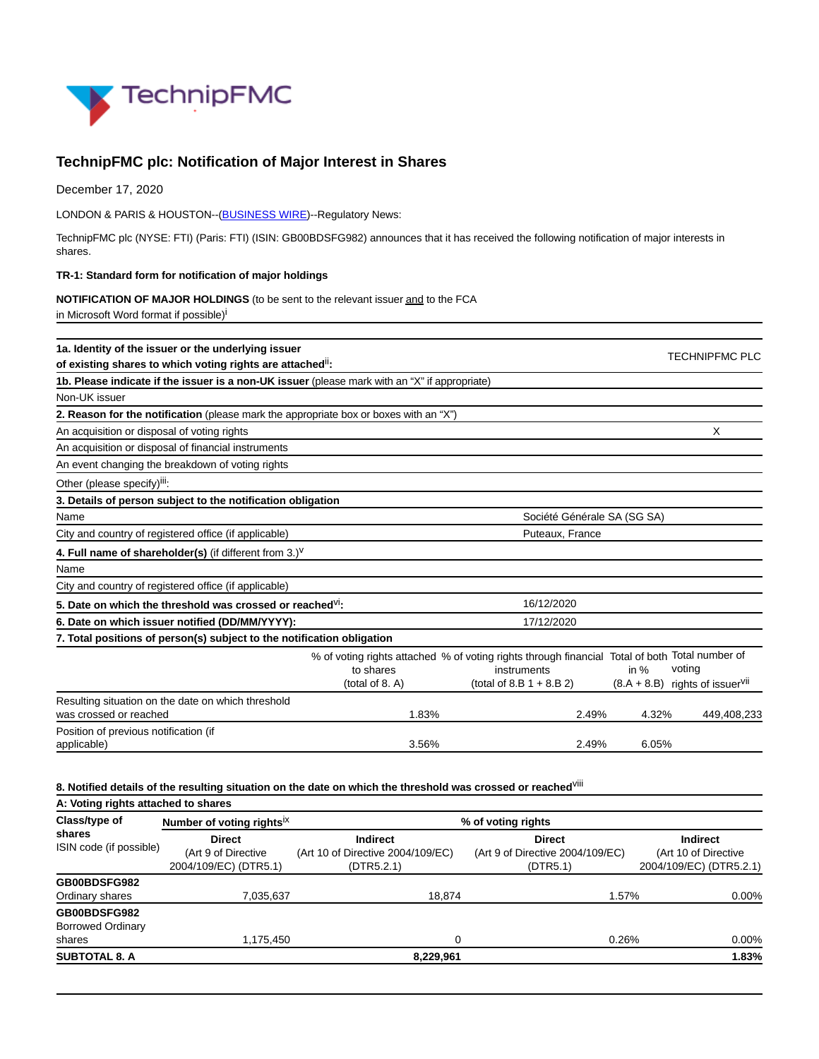

# **TechnipFMC plc: Notification of Major Interest in Shares**

December 17, 2020

LONDON & PARIS & HOUSTON--[\(BUSINESS WIRE\)](https://www.businesswire.com/)--Regulatory News:

TechnipFMC plc (NYSE: FTI) (Paris: FTI) (ISIN: GB00BDSFG982) announces that it has received the following notification of major interests in shares.

#### **TR-1: Standard form for notification of major holdings**

#### **NOTIFICATION OF MAJOR HOLDINGS** (to be sent to the relevant issuer and to the FCA

in Microsoft Word format if possible)<sup>i</sup>

| 1a. Identity of the issuer or the underlying issuer                                           |                              |                                                                                                                                              |        | <b>TECHNIPFMC PLC</b>                                   |
|-----------------------------------------------------------------------------------------------|------------------------------|----------------------------------------------------------------------------------------------------------------------------------------------|--------|---------------------------------------------------------|
| of existing shares to which voting rights are attached":                                      |                              |                                                                                                                                              |        |                                                         |
| 1b. Please indicate if the issuer is a non-UK issuer (please mark with an "X" if appropriate) |                              |                                                                                                                                              |        |                                                         |
| Non-UK issuer                                                                                 |                              |                                                                                                                                              |        |                                                         |
| 2. Reason for the notification (please mark the appropriate box or boxes with an "X")         |                              |                                                                                                                                              |        |                                                         |
| An acquisition or disposal of voting rights                                                   |                              |                                                                                                                                              |        | X                                                       |
| An acquisition or disposal of financial instruments                                           |                              |                                                                                                                                              |        |                                                         |
| An event changing the breakdown of voting rights                                              |                              |                                                                                                                                              |        |                                                         |
| Other (please specify) <sup>iii</sup> :                                                       |                              |                                                                                                                                              |        |                                                         |
| 3. Details of person subject to the notification obligation                                   |                              |                                                                                                                                              |        |                                                         |
| Name                                                                                          |                              | Société Générale SA (SG SA)                                                                                                                  |        |                                                         |
| City and country of registered office (if applicable)                                         |                              | Puteaux, France                                                                                                                              |        |                                                         |
| 4. Full name of shareholder(s) (if different from $3.$ ) <sup>V</sup>                         |                              |                                                                                                                                              |        |                                                         |
| Name                                                                                          |                              |                                                                                                                                              |        |                                                         |
| City and country of registered office (if applicable)                                         |                              |                                                                                                                                              |        |                                                         |
| 5. Date on which the threshold was crossed or reached <sup>VI</sup> :                         |                              | 16/12/2020                                                                                                                                   |        |                                                         |
| 6. Date on which issuer notified (DD/MM/YYYY):                                                |                              | 17/12/2020                                                                                                                                   |        |                                                         |
| 7. Total positions of person(s) subject to the notification obligation                        |                              |                                                                                                                                              |        |                                                         |
|                                                                                               | to shares<br>(total of 8. A) | % of voting rights attached % of voting rights through financial Total of both Total number of<br>instruments<br>(total of 8.B $1 + 8.B 2$ ) | in $%$ | voting<br>$(8.A + 8.B)$ rights of issuer <sup>vii</sup> |
| Resulting situation on the date on which threshold<br>was crossed or reached                  | 1.83%                        | 2.49%                                                                                                                                        | 4.32%  | 449,408,233                                             |
| Position of previous notification (if<br>applicable)                                          | 3.56%                        | 2.49%                                                                                                                                        | 6.05%  |                                                         |

## **8. Notified details of the resulting situation on the date on which the threshold was crossed or reached**viii

| A: Voting rights attached to shares                |                                                               |                                                                    |                                                               |                                                                    |  |  |
|----------------------------------------------------|---------------------------------------------------------------|--------------------------------------------------------------------|---------------------------------------------------------------|--------------------------------------------------------------------|--|--|
| Class/type of<br>shares<br>ISIN code (if possible) | Number of voting rights <sup>1X</sup>                         | % of voting rights                                                 |                                                               |                                                                    |  |  |
|                                                    | <b>Direct</b><br>(Art 9 of Directive<br>2004/109/EC) (DTR5.1) | <b>Indirect</b><br>(Art 10 of Directive 2004/109/EC)<br>(DTR5.2.1) | <b>Direct</b><br>(Art 9 of Directive 2004/109/EC)<br>(DTR5.1) | <b>Indirect</b><br>(Art 10 of Directive<br>2004/109/EC) (DTR5.2.1) |  |  |
| GB00BDSFG982<br>Ordinary shares                    | 7,035,637                                                     | 18.874                                                             | 1.57%                                                         | $0.00\%$                                                           |  |  |
| GB00BDSFG982<br><b>Borrowed Ordinary</b><br>shares | 1,175,450                                                     | 0                                                                  | 0.26%                                                         | 0.00%                                                              |  |  |
| <b>SUBTOTAL 8. A</b>                               |                                                               | 8,229,961                                                          |                                                               | 1.83%                                                              |  |  |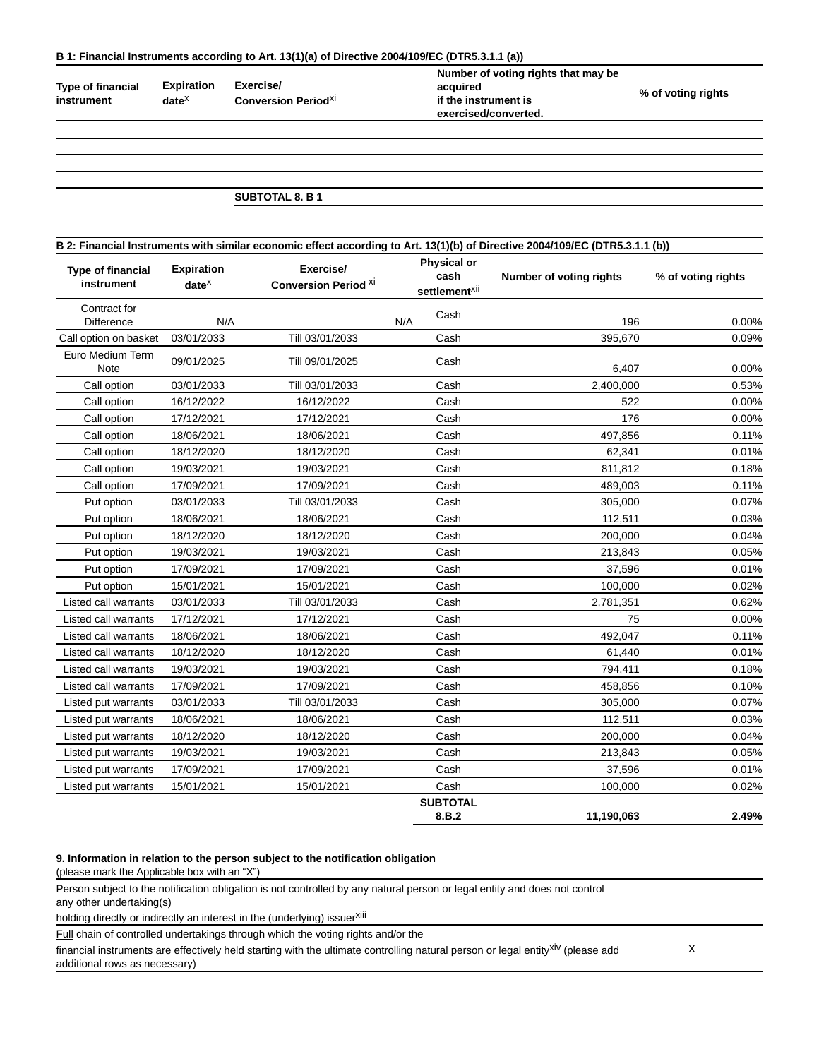### **B 1: Financial Instruments according to Art. 13(1)(a) of Directive 2004/109/EC (DTR5.3.1.1 (a))**

**Type of financial instrument**

**Expiration Exercise/ Conversion Period**xi

**date**x

**Number of voting rights that may be acquired if the instrument is exercised/converted.**

**% of voting rights**

# **SUBTOTAL 8. B 1**

| B 2: Financial Instruments with similar economic effect according to Art. 13(1)(b) of Directive 2004/109/EC (DTR5.3.1.1 (b)) |                                    |                                          |     |                                                         |                         |                    |
|------------------------------------------------------------------------------------------------------------------------------|------------------------------------|------------------------------------------|-----|---------------------------------------------------------|-------------------------|--------------------|
| <b>Type of financial</b><br>instrument                                                                                       | <b>Expiration</b><br>$date^{\chi}$ | Exercise/<br><b>Conversion Period XI</b> |     | <b>Physical or</b><br>cash<br>settlement <sup>xii</sup> | Number of voting rights | % of voting rights |
| Contract for<br>Difference                                                                                                   | N/A                                |                                          | N/A | Cash                                                    | 196                     | 0.00%              |
| Call option on basket                                                                                                        | 03/01/2033                         | Till 03/01/2033                          |     | Cash                                                    | 395,670                 | 0.09%              |
| Euro Medium Term<br>Note                                                                                                     | 09/01/2025                         | Till 09/01/2025                          |     | Cash                                                    | 6,407                   | 0.00%              |
| Call option                                                                                                                  | 03/01/2033                         | Till 03/01/2033                          |     | Cash                                                    | 2,400,000               | 0.53%              |
| Call option                                                                                                                  | 16/12/2022                         | 16/12/2022                               |     | Cash                                                    | 522                     | 0.00%              |
| Call option                                                                                                                  | 17/12/2021                         | 17/12/2021                               |     | Cash                                                    | 176                     | 0.00%              |
| Call option                                                                                                                  | 18/06/2021                         | 18/06/2021                               |     | Cash                                                    | 497,856                 | 0.11%              |
| Call option                                                                                                                  | 18/12/2020                         | 18/12/2020                               |     | Cash                                                    | 62,341                  | 0.01%              |
| Call option                                                                                                                  | 19/03/2021                         | 19/03/2021                               |     | Cash                                                    | 811,812                 | 0.18%              |
| Call option                                                                                                                  | 17/09/2021                         | 17/09/2021                               |     | Cash                                                    | 489,003                 | 0.11%              |
| Put option                                                                                                                   | 03/01/2033                         | Till 03/01/2033                          |     | Cash                                                    | 305,000                 | 0.07%              |
| Put option                                                                                                                   | 18/06/2021                         | 18/06/2021                               |     | Cash                                                    | 112,511                 | 0.03%              |
| Put option                                                                                                                   | 18/12/2020                         | 18/12/2020                               |     | Cash                                                    | 200,000                 | 0.04%              |
| Put option                                                                                                                   | 19/03/2021                         | 19/03/2021                               |     | Cash                                                    | 213,843                 | 0.05%              |
| Put option                                                                                                                   | 17/09/2021                         | 17/09/2021                               |     | Cash                                                    | 37,596                  | 0.01%              |
| Put option                                                                                                                   | 15/01/2021                         | 15/01/2021                               |     | Cash                                                    | 100,000                 | 0.02%              |
| Listed call warrants                                                                                                         | 03/01/2033                         | Till 03/01/2033                          |     | Cash                                                    | 2,781,351               | 0.62%              |
| Listed call warrants                                                                                                         | 17/12/2021                         | 17/12/2021                               |     | Cash                                                    | 75                      | 0.00%              |
| Listed call warrants                                                                                                         | 18/06/2021                         | 18/06/2021                               |     | Cash                                                    | 492,047                 | 0.11%              |
| Listed call warrants                                                                                                         | 18/12/2020                         | 18/12/2020                               |     | Cash                                                    | 61,440                  | 0.01%              |
| Listed call warrants                                                                                                         | 19/03/2021                         | 19/03/2021                               |     | Cash                                                    | 794,411                 | 0.18%              |
| Listed call warrants                                                                                                         | 17/09/2021                         | 17/09/2021                               |     | Cash                                                    | 458,856                 | 0.10%              |
| Listed put warrants                                                                                                          | 03/01/2033                         | Till 03/01/2033                          |     | Cash                                                    | 305,000                 | 0.07%              |
| Listed put warrants                                                                                                          | 18/06/2021                         | 18/06/2021                               |     | Cash                                                    | 112,511                 | 0.03%              |
| Listed put warrants                                                                                                          | 18/12/2020                         | 18/12/2020                               |     | Cash                                                    | 200,000                 | 0.04%              |
| Listed put warrants                                                                                                          | 19/03/2021                         | 19/03/2021                               |     | Cash                                                    | 213,843                 | 0.05%              |
| Listed put warrants                                                                                                          | 17/09/2021                         | 17/09/2021                               |     | Cash                                                    | 37,596                  | 0.01%              |
| Listed put warrants                                                                                                          | 15/01/2021                         | 15/01/2021                               |     | Cash                                                    | 100,000                 | 0.02%              |
|                                                                                                                              |                                    |                                          |     | <b>SUBTOTAL</b><br>8.B.2                                | 11,190,063              | 2.49%              |

#### **9. Information in relation to the person subject to the notification obligation**

(please mark the Applicable box with an "X")

Person subject to the notification obligation is not controlled by any natural person or legal entity and does not control any other undertaking(s)

holding directly or indirectly an interest in the (underlying) issuerxiii

Full chain of controlled undertakings through which the voting rights and/or the

financial instruments are effectively held starting with the ultimate controlling natural person or legal entityxiv (please add additional rows as necessary)